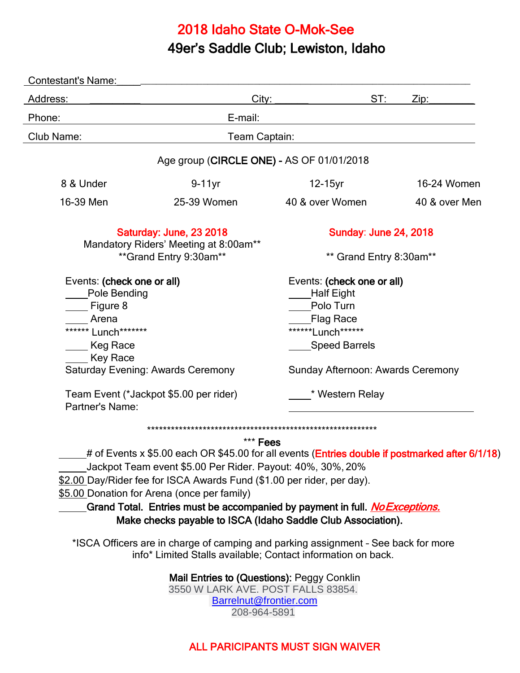## 2018 Idaho State O-Mok-See

# 49er's Saddle Club; Lewiston, Idaho

| Contestant's Name:                                                                             |                                                                                                                                                    |                                                                                                         |               |
|------------------------------------------------------------------------------------------------|----------------------------------------------------------------------------------------------------------------------------------------------------|---------------------------------------------------------------------------------------------------------|---------------|
| Address:                                                                                       | City:                                                                                                                                              | ST:                                                                                                     | Zip:          |
| Phone:                                                                                         | E-mail:                                                                                                                                            |                                                                                                         |               |
| Club Name:<br>Team Captain:                                                                    |                                                                                                                                                    |                                                                                                         |               |
|                                                                                                | Age group (CIRCLE ONE) - AS OF 01/01/2018                                                                                                          |                                                                                                         |               |
| 8 & Under                                                                                      | $9-11$ yr                                                                                                                                          | 12-15yr                                                                                                 | 16-24 Women   |
| 16-39 Men                                                                                      | 25-39 Women                                                                                                                                        | 40 & over Women                                                                                         | 40 & over Men |
| Saturday: June, 23 2018<br>Mandatory Riders' Meeting at 8:00am**<br>** Grand Entry 9:30am**    |                                                                                                                                                    | <b>Sunday: June 24, 2018</b>                                                                            |               |
|                                                                                                |                                                                                                                                                    | ** Grand Entry 8:30am**                                                                                 |               |
| Events: (check one or all)<br><b>Pole Bending</b><br>Figure 8<br>Arena<br>****** Lunch******** |                                                                                                                                                    | Events: (check one or all)<br><b>Half Eight</b><br>Polo Turn<br><b>Flag Race</b><br>*******Lunch******* |               |
| Keg Race                                                                                       |                                                                                                                                                    | <b>Speed Barrels</b>                                                                                    |               |
| _ Key Race<br>Saturday Evening: Awards Ceremony                                                |                                                                                                                                                    | Sunday Afternoon: Awards Ceremony                                                                       |               |
| Team Event (*Jackpot \$5.00 per rider)<br><b>Partner's Name:</b>                               |                                                                                                                                                    | * Western Relay                                                                                         |               |
|                                                                                                |                                                                                                                                                    |                                                                                                         |               |
|                                                                                                | *** Fees                                                                                                                                           |                                                                                                         |               |
|                                                                                                | # of Events x \$5.00 each OR \$45.00 for all events (Entries double if postmarked after 6/1/18)                                                    |                                                                                                         |               |
|                                                                                                | Jackpot Team event \$5.00 Per Rider. Payout: 40%, 30%, 20%                                                                                         |                                                                                                         |               |
|                                                                                                | \$2.00 Day/Rider fee for ISCA Awards Fund (\$1.00 per rider, per day).                                                                             |                                                                                                         |               |
|                                                                                                | \$5.00 Donation for Arena (once per family)                                                                                                        |                                                                                                         |               |
|                                                                                                | Grand Total. Entries must be accompanied by payment in full. <i>No Exceptions</i> .                                                                |                                                                                                         |               |
|                                                                                                | Make checks payable to ISCA (Idaho Saddle Club Association).                                                                                       |                                                                                                         |               |
|                                                                                                | *ISCA Officers are in charge of camping and parking assignment - See back for more<br>info* Limited Stalls available; Contact information on back. |                                                                                                         |               |
|                                                                                                | Mail Entries to (Questions): Peggy Conklin<br>3550 W LARK AVE. POST FALLS 83854.                                                                   |                                                                                                         |               |

[Barrelnut@frontier.com](mailto:Barrelnut@frontier.com) 208-964-5891

#### ALL PARICIPANTS MUST SIGN WAIVER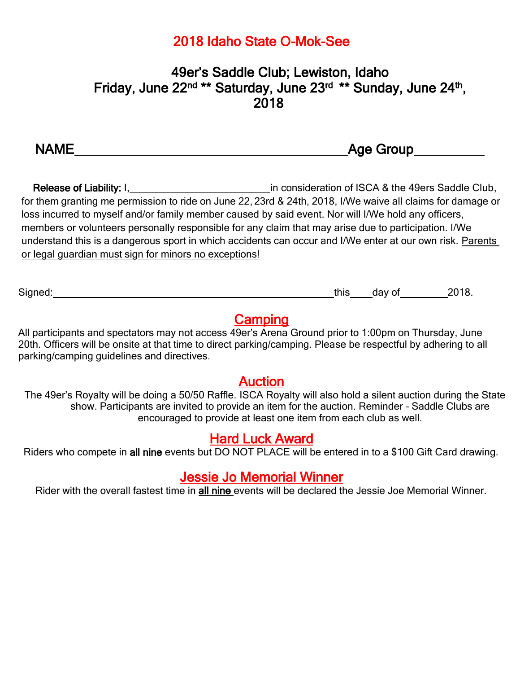## 2018 Idaho State O-Mok-See

## 49er's Saddle Club; Lewiston, Idaho Friday, June 22<sup>nd</sup> \*\* Saturday, June 23<sup>rd</sup> \*\* Sunday, June 24<sup>th</sup>, 2018

| <b>IAMF</b><br>N | <b>Age Group</b> |
|------------------|------------------|
|                  |                  |

Release of Liability: I, 1. 1. 1998 1.1 [1] in consideration of ISCA & the 49ers Saddle Club, for them granting me permission to ride on June 22, 23rd & 24th, 2018, I/We waive all claims for damage or loss incurred to myself and/or family member caused by said event. Nor will I/We hold any officers, members or volunteers personally responsible for any claim that may arise due to participation. I/We understand this is a dangerous sport in which accidents can occur and I/We enter at our own risk. Parents or legal guardian must sign for minors no exceptions!

Signed: Signed: 2018.

### **Camping**

All participants and spectators may not access 49er's Arena Ground prior to 1:00pm on Thursday, June 20th. Officers will be onsite at that time to direct parking/camping. Please be respectful by adhering to all parking/camping guidelines and directives.

#### Auction

The 49er's Royalty will be doing a 50/50 Raffle. ISCA Royalty will also hold a silent auction during the State show. Participants are invited to provide an item for the auction. Reminder - Saddle Clubs are encouraged to provide at least one item from each club as well.

### Hard Luck Award

Riders who compete in all nine events but DO NOT PLACE will be entered in to a \$100 Gift Card drawing.

### Jessie Jo Memorial Winner

Rider with the overall fastest time in all nine events will be declared the Jessie Joe Memorial Winner.